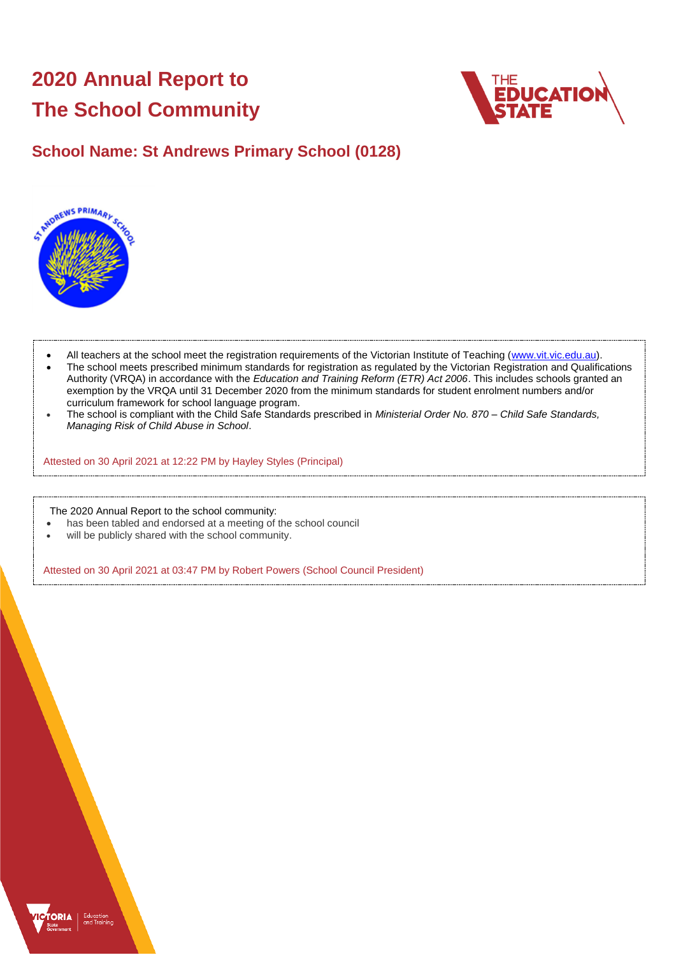# **2020 Annual Report to The School Community**



## **School Name: St Andrews Primary School (0128)**



- All teachers at the school meet the registration requirements of the Victorian Institute of Teaching [\(www.vit.vic.edu.au\)](https://www.vit.vic.edu.au/).
- The school meets prescribed minimum standards for registration as regulated by the Victorian Registration and Qualifications Authority (VRQA) in accordance with the *Education and Training Reform (ETR) Act 2006*. This includes schools granted an exemption by the VRQA until 31 December 2020 from the minimum standards for student enrolment numbers and/or curriculum framework for school language program.
- The school is compliant with the Child Safe Standards prescribed in *Ministerial Order No. 870 – Child Safe Standards, Managing Risk of Child Abuse in School*.

Attested on 30 April 2021 at 12:22 PM by Hayley Styles (Principal)

The 2020 Annual Report to the school community:

- has been tabled and endorsed at a meeting of the school council
- will be publicly shared with the school community.

Attested on 30 April 2021 at 03:47 PM by Robert Powers (School Council President)

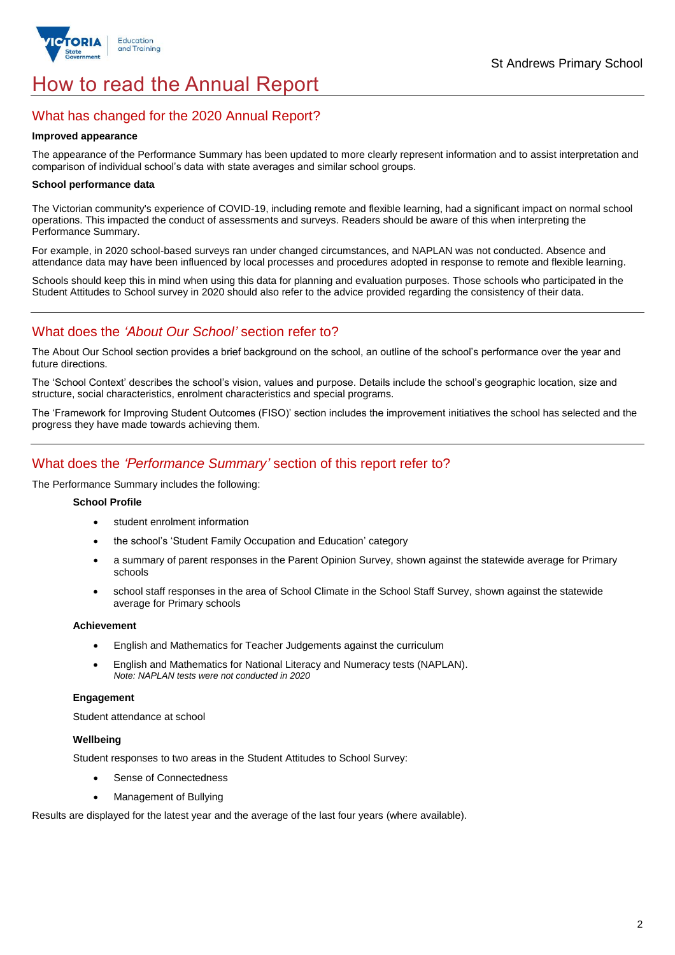

## How to read the Annual Report

## What has changed for the 2020 Annual Report?

#### **Improved appearance**

The appearance of the Performance Summary has been updated to more clearly represent information and to assist interpretation and comparison of individual school's data with state averages and similar school groups.

#### **School performance data**

The Victorian community's experience of COVID-19, including remote and flexible learning, had a significant impact on normal school operations. This impacted the conduct of assessments and surveys. Readers should be aware of this when interpreting the Performance Summary.

For example, in 2020 school-based surveys ran under changed circumstances, and NAPLAN was not conducted. Absence and attendance data may have been influenced by local processes and procedures adopted in response to remote and flexible learning.

Schools should keep this in mind when using this data for planning and evaluation purposes. Those schools who participated in the Student Attitudes to School survey in 2020 should also refer to the advice provided regarding the consistency of their data.

## What does the *'About Our School'* section refer to?

The About Our School section provides a brief background on the school, an outline of the school's performance over the year and future directions.

The 'School Context' describes the school's vision, values and purpose. Details include the school's geographic location, size and structure, social characteristics, enrolment characteristics and special programs.

The 'Framework for Improving Student Outcomes (FISO)' section includes the improvement initiatives the school has selected and the progress they have made towards achieving them.

## What does the *'Performance Summary'* section of this report refer to?

The Performance Summary includes the following:

#### **School Profile**

- student enrolment information
- the school's 'Student Family Occupation and Education' category
- a summary of parent responses in the Parent Opinion Survey, shown against the statewide average for Primary schools
- school staff responses in the area of School Climate in the School Staff Survey, shown against the statewide average for Primary schools

#### **Achievement**

- English and Mathematics for Teacher Judgements against the curriculum
- English and Mathematics for National Literacy and Numeracy tests (NAPLAN). *Note: NAPLAN tests were not conducted in 2020*

#### **Engagement**

Student attendance at school

#### **Wellbeing**

Student responses to two areas in the Student Attitudes to School Survey:

- Sense of Connectedness
- Management of Bullying

Results are displayed for the latest year and the average of the last four years (where available).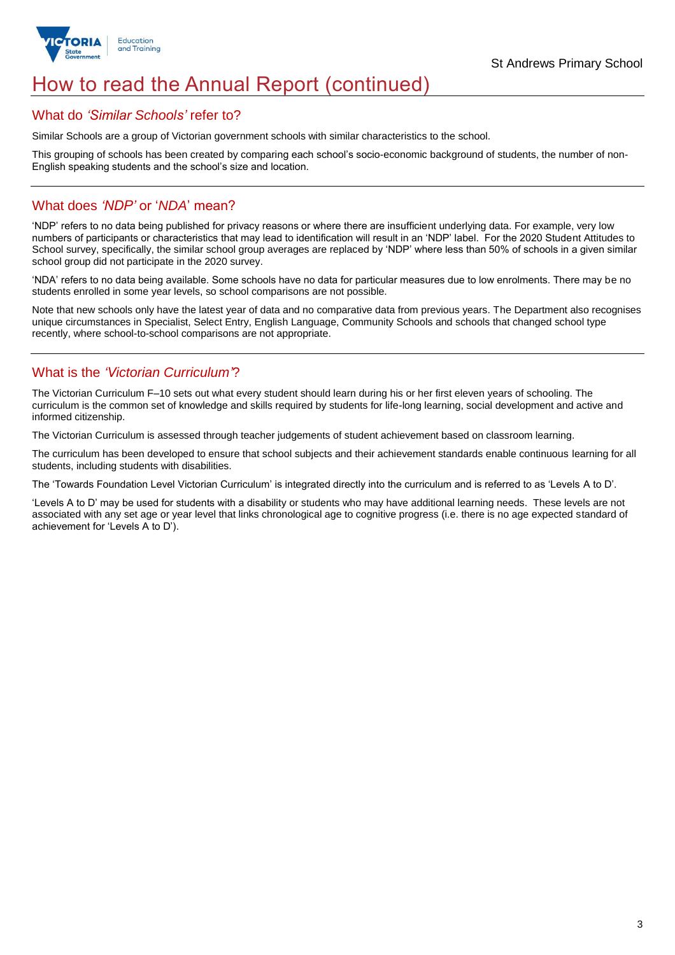

## How to read the Annual Report (continued)

### What do *'Similar Schools'* refer to?

Similar Schools are a group of Victorian government schools with similar characteristics to the school.

This grouping of schools has been created by comparing each school's socio-economic background of students, the number of non-English speaking students and the school's size and location.

## What does *'NDP'* or '*NDA*' mean?

'NDP' refers to no data being published for privacy reasons or where there are insufficient underlying data. For example, very low numbers of participants or characteristics that may lead to identification will result in an 'NDP' label. For the 2020 Student Attitudes to School survey, specifically, the similar school group averages are replaced by 'NDP' where less than 50% of schools in a given similar school group did not participate in the 2020 survey.

'NDA' refers to no data being available. Some schools have no data for particular measures due to low enrolments. There may be no students enrolled in some year levels, so school comparisons are not possible.

Note that new schools only have the latest year of data and no comparative data from previous years. The Department also recognises unique circumstances in Specialist, Select Entry, English Language, Community Schools and schools that changed school type recently, where school-to-school comparisons are not appropriate.

## What is the *'Victorian Curriculum'*?

The Victorian Curriculum F–10 sets out what every student should learn during his or her first eleven years of schooling. The curriculum is the common set of knowledge and skills required by students for life-long learning, social development and active and informed citizenship.

The Victorian Curriculum is assessed through teacher judgements of student achievement based on classroom learning.

The curriculum has been developed to ensure that school subjects and their achievement standards enable continuous learning for all students, including students with disabilities.

The 'Towards Foundation Level Victorian Curriculum' is integrated directly into the curriculum and is referred to as 'Levels A to D'.

'Levels A to D' may be used for students with a disability or students who may have additional learning needs. These levels are not associated with any set age or year level that links chronological age to cognitive progress (i.e. there is no age expected standard of achievement for 'Levels A to D').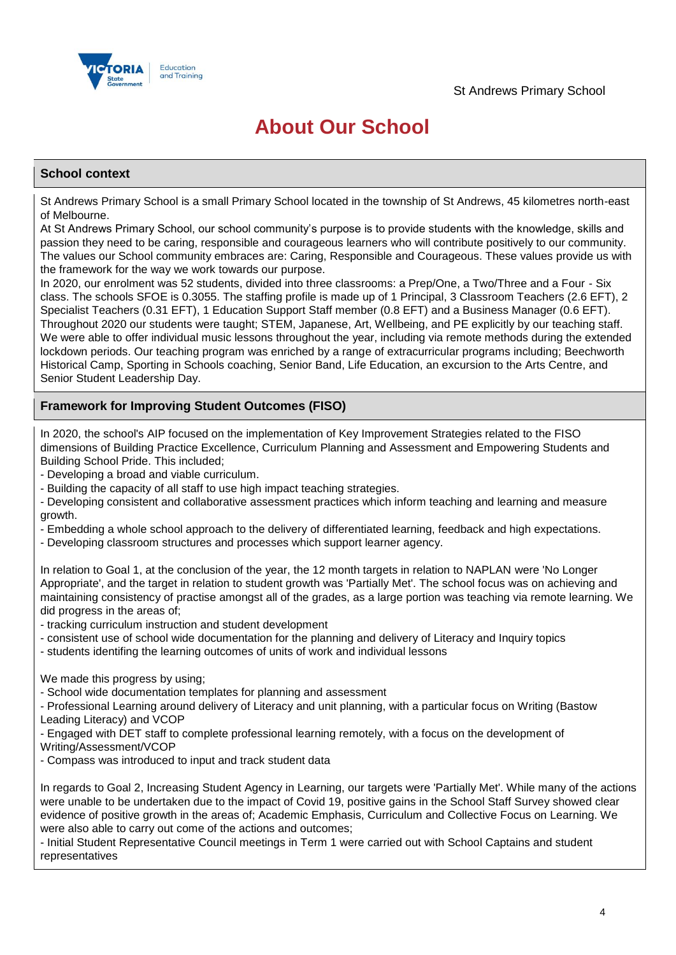

## **About Our School**

#### **School context**

St Andrews Primary School is a small Primary School located in the township of St Andrews, 45 kilometres north-east of Melbourne.

At St Andrews Primary School, our school community's purpose is to provide students with the knowledge, skills and passion they need to be caring, responsible and courageous learners who will contribute positively to our community. The values our School community embraces are: Caring, Responsible and Courageous. These values provide us with the framework for the way we work towards our purpose.

In 2020, our enrolment was 52 students, divided into three classrooms: a Prep/One, a Two/Three and a Four - Six class. The schools SFOE is 0.3055. The staffing profile is made up of 1 Principal, 3 Classroom Teachers (2.6 EFT), 2 Specialist Teachers (0.31 EFT), 1 Education Support Staff member (0.8 EFT) and a Business Manager (0.6 EFT). Throughout 2020 our students were taught; STEM, Japanese, Art, Wellbeing, and PE explicitly by our teaching staff. We were able to offer individual music lessons throughout the year, including via remote methods during the extended lockdown periods. Our teaching program was enriched by a range of extracurricular programs including; Beechworth Historical Camp, Sporting in Schools coaching, Senior Band, Life Education, an excursion to the Arts Centre, and Senior Student Leadership Day.

### **Framework for Improving Student Outcomes (FISO)**

In 2020, the school's AIP focused on the implementation of Key Improvement Strategies related to the FISO dimensions of Building Practice Excellence, Curriculum Planning and Assessment and Empowering Students and Building School Pride. This included;

- Developing a broad and viable curriculum.

- Building the capacity of all staff to use high impact teaching strategies.

- Developing consistent and collaborative assessment practices which inform teaching and learning and measure growth.

- Embedding a whole school approach to the delivery of differentiated learning, feedback and high expectations.

- Developing classroom structures and processes which support learner agency.

In relation to Goal 1, at the conclusion of the year, the 12 month targets in relation to NAPLAN were 'No Longer Appropriate', and the target in relation to student growth was 'Partially Met'. The school focus was on achieving and maintaining consistency of practise amongst all of the grades, as a large portion was teaching via remote learning. We did progress in the areas of;

- tracking curriculum instruction and student development

- consistent use of school wide documentation for the planning and delivery of Literacy and Inquiry topics

- students identifing the learning outcomes of units of work and individual lessons

We made this progress by using:

- School wide documentation templates for planning and assessment

- Professional Learning around delivery of Literacy and unit planning, with a particular focus on Writing (Bastow Leading Literacy) and VCOP

- Engaged with DET staff to complete professional learning remotely, with a focus on the development of

Writing/Assessment/VCOP

- Compass was introduced to input and track student data

In regards to Goal 2, Increasing Student Agency in Learning, our targets were 'Partially Met'. While many of the actions were unable to be undertaken due to the impact of Covid 19, positive gains in the School Staff Survey showed clear evidence of positive growth in the areas of; Academic Emphasis, Curriculum and Collective Focus on Learning. We were also able to carry out come of the actions and outcomes;

- Initial Student Representative Council meetings in Term 1 were carried out with School Captains and student representatives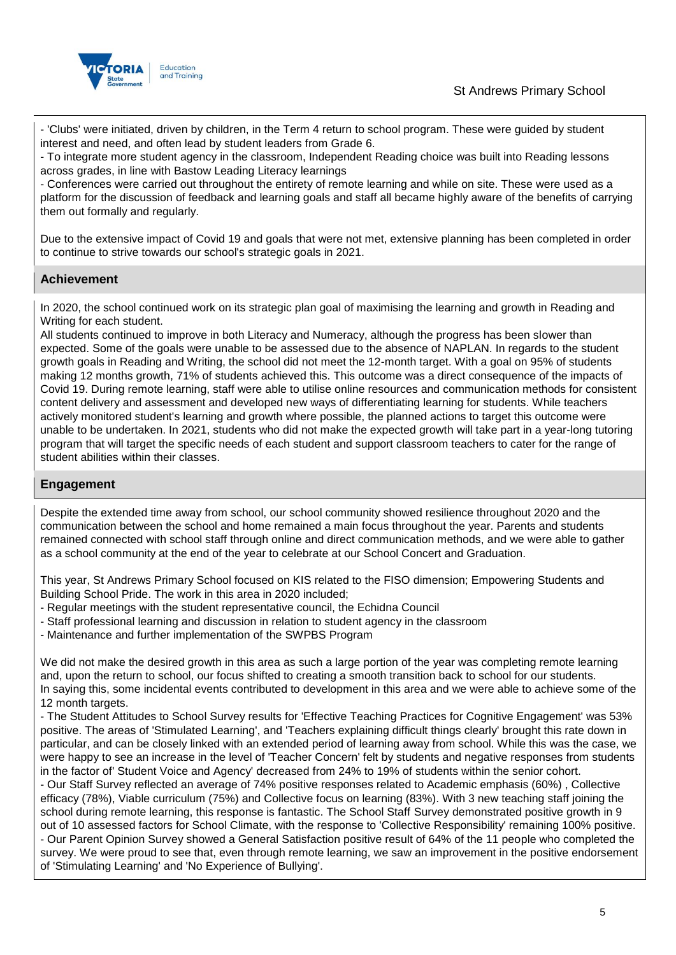

- 'Clubs' were initiated, driven by children, in the Term 4 return to school program. These were guided by student interest and need, and often lead by student leaders from Grade 6.

- To integrate more student agency in the classroom, Independent Reading choice was built into Reading lessons across grades, in line with Bastow Leading Literacy learnings

- Conferences were carried out throughout the entirety of remote learning and while on site. These were used as a platform for the discussion of feedback and learning goals and staff all became highly aware of the benefits of carrying them out formally and regularly.

Due to the extensive impact of Covid 19 and goals that were not met, extensive planning has been completed in order to continue to strive towards our school's strategic goals in 2021.

## **Achievement**

In 2020, the school continued work on its strategic plan goal of maximising the learning and growth in Reading and Writing for each student.

All students continued to improve in both Literacy and Numeracy, although the progress has been slower than expected. Some of the goals were unable to be assessed due to the absence of NAPLAN. In regards to the student growth goals in Reading and Writing, the school did not meet the 12-month target. With a goal on 95% of students making 12 months growth, 71% of students achieved this. This outcome was a direct consequence of the impacts of Covid 19. During remote learning, staff were able to utilise online resources and communication methods for consistent content delivery and assessment and developed new ways of differentiating learning for students. While teachers actively monitored student's learning and growth where possible, the planned actions to target this outcome were unable to be undertaken. In 2021, students who did not make the expected growth will take part in a year-long tutoring program that will target the specific needs of each student and support classroom teachers to cater for the range of student abilities within their classes.

### **Engagement**

Despite the extended time away from school, our school community showed resilience throughout 2020 and the communication between the school and home remained a main focus throughout the year. Parents and students remained connected with school staff through online and direct communication methods, and we were able to gather as a school community at the end of the year to celebrate at our School Concert and Graduation.

This year, St Andrews Primary School focused on KIS related to the FISO dimension; Empowering Students and Building School Pride. The work in this area in 2020 included;

- Regular meetings with the student representative council, the Echidna Council
- Staff professional learning and discussion in relation to student agency in the classroom
- Maintenance and further implementation of the SWPBS Program

We did not make the desired growth in this area as such a large portion of the year was completing remote learning and, upon the return to school, our focus shifted to creating a smooth transition back to school for our students. In saying this, some incidental events contributed to development in this area and we were able to achieve some of the 12 month targets.

- The Student Attitudes to School Survey results for 'Effective Teaching Practices for Cognitive Engagement' was 53% positive. The areas of 'Stimulated Learning', and 'Teachers explaining difficult things clearly' brought this rate down in particular, and can be closely linked with an extended period of learning away from school. While this was the case, we were happy to see an increase in the level of 'Teacher Concern' felt by students and negative responses from students in the factor of' Student Voice and Agency' decreased from 24% to 19% of students within the senior cohort.

- Our Staff Survey reflected an average of 74% positive responses related to Academic emphasis (60%) , Collective efficacy (78%), Viable curriculum (75%) and Collective focus on learning (83%). With 3 new teaching staff joining the school during remote learning, this response is fantastic. The School Staff Survey demonstrated positive growth in 9 out of 10 assessed factors for School Climate, with the response to 'Collective Responsibility' remaining 100% positive. - Our Parent Opinion Survey showed a General Satisfaction positive result of 64% of the 11 people who completed the survey. We were proud to see that, even through remote learning, we saw an improvement in the positive endorsement of 'Stimulating Learning' and 'No Experience of Bullying'.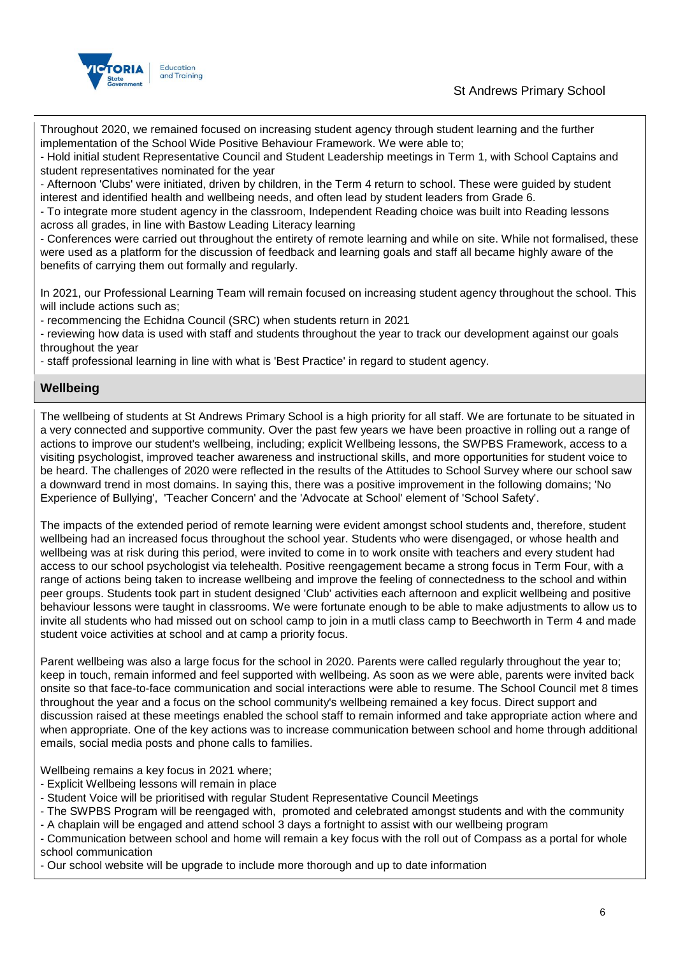



Throughout 2020, we remained focused on increasing student agency through student learning and the further implementation of the School Wide Positive Behaviour Framework. We were able to;

- Hold initial student Representative Council and Student Leadership meetings in Term 1, with School Captains and student representatives nominated for the year

- Afternoon 'Clubs' were initiated, driven by children, in the Term 4 return to school. These were guided by student interest and identified health and wellbeing needs, and often lead by student leaders from Grade 6.

- To integrate more student agency in the classroom, Independent Reading choice was built into Reading lessons across all grades, in line with Bastow Leading Literacy learning

- Conferences were carried out throughout the entirety of remote learning and while on site. While not formalised, these were used as a platform for the discussion of feedback and learning goals and staff all became highly aware of the benefits of carrying them out formally and regularly.

In 2021, our Professional Learning Team will remain focused on increasing student agency throughout the school. This will include actions such as:

- recommencing the Echidna Council (SRC) when students return in 2021

- reviewing how data is used with staff and students throughout the year to track our development against our goals throughout the year

- staff professional learning in line with what is 'Best Practice' in regard to student agency.

#### **Wellbeing**

The wellbeing of students at St Andrews Primary School is a high priority for all staff. We are fortunate to be situated in a very connected and supportive community. Over the past few years we have been proactive in rolling out a range of actions to improve our student's wellbeing, including; explicit Wellbeing lessons, the SWPBS Framework, access to a visiting psychologist, improved teacher awareness and instructional skills, and more opportunities for student voice to be heard. The challenges of 2020 were reflected in the results of the Attitudes to School Survey where our school saw a downward trend in most domains. In saying this, there was a positive improvement in the following domains; 'No Experience of Bullying', 'Teacher Concern' and the 'Advocate at School' element of 'School Safety'.

The impacts of the extended period of remote learning were evident amongst school students and, therefore, student wellbeing had an increased focus throughout the school year. Students who were disengaged, or whose health and wellbeing was at risk during this period, were invited to come in to work onsite with teachers and every student had access to our school psychologist via telehealth. Positive reengagement became a strong focus in Term Four, with a range of actions being taken to increase wellbeing and improve the feeling of connectedness to the school and within peer groups. Students took part in student designed 'Club' activities each afternoon and explicit wellbeing and positive behaviour lessons were taught in classrooms. We were fortunate enough to be able to make adjustments to allow us to invite all students who had missed out on school camp to join in a mutli class camp to Beechworth in Term 4 and made student voice activities at school and at camp a priority focus.

Parent wellbeing was also a large focus for the school in 2020. Parents were called regularly throughout the year to; keep in touch, remain informed and feel supported with wellbeing. As soon as we were able, parents were invited back onsite so that face-to-face communication and social interactions were able to resume. The School Council met 8 times throughout the year and a focus on the school community's wellbeing remained a key focus. Direct support and discussion raised at these meetings enabled the school staff to remain informed and take appropriate action where and when appropriate. One of the key actions was to increase communication between school and home through additional emails, social media posts and phone calls to families.

Wellbeing remains a key focus in 2021 where;

- Explicit Wellbeing lessons will remain in place
- Student Voice will be prioritised with regular Student Representative Council Meetings
- The SWPBS Program will be reengaged with, promoted and celebrated amongst students and with the community
- A chaplain will be engaged and attend school 3 days a fortnight to assist with our wellbeing program

- Communication between school and home will remain a key focus with the roll out of Compass as a portal for whole school communication

- Our school website will be upgrade to include more thorough and up to date information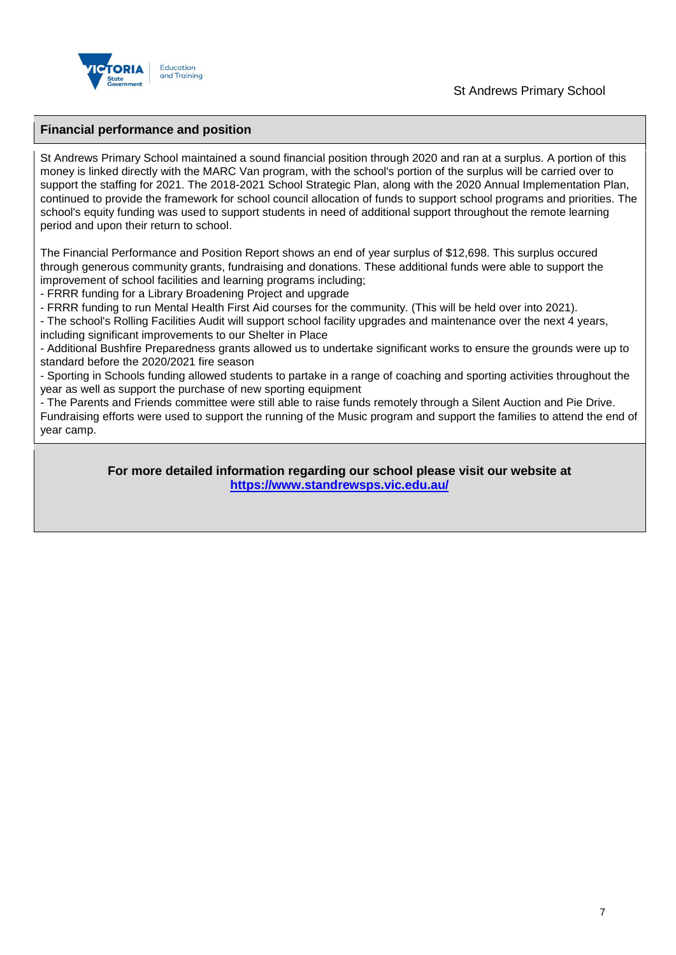

#### **Financial performance and position**

St Andrews Primary School maintained a sound financial position through 2020 and ran at a surplus. A portion of this money is linked directly with the MARC Van program, with the school's portion of the surplus will be carried over to support the staffing for 2021. The 2018-2021 School Strategic Plan, along with the 2020 Annual Implementation Plan, continued to provide the framework for school council allocation of funds to support school programs and priorities. The school's equity funding was used to support students in need of additional support throughout the remote learning period and upon their return to school.

The Financial Performance and Position Report shows an end of year surplus of \$12,698. This surplus occured through generous community grants, fundraising and donations. These additional funds were able to support the improvement of school facilities and learning programs including;

- FRRR funding for a Library Broadening Project and upgrade

- FRRR funding to run Mental Health First Aid courses for the community. (This will be held over into 2021).

- The school's Rolling Facilities Audit will support school facility upgrades and maintenance over the next 4 years, including significant improvements to our Shelter in Place

- Additional Bushfire Preparedness grants allowed us to undertake significant works to ensure the grounds were up to standard before the 2020/2021 fire season

- Sporting in Schools funding allowed students to partake in a range of coaching and sporting activities throughout the year as well as support the purchase of new sporting equipment

- The Parents and Friends committee were still able to raise funds remotely through a Silent Auction and Pie Drive. Fundraising efforts were used to support the running of the Music program and support the families to attend the end of year camp.

> **For more detailed information regarding our school please visit our website at <https://www.standrewsps.vic.edu.au/>**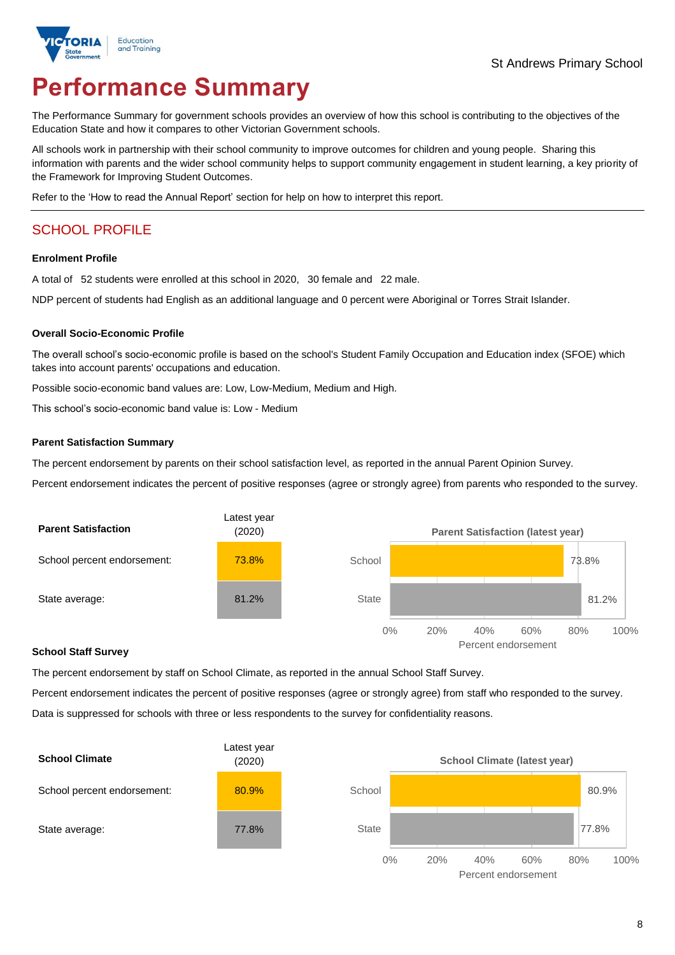

# **Performance Summary**

The Performance Summary for government schools provides an overview of how this school is contributing to the objectives of the Education State and how it compares to other Victorian Government schools.

All schools work in partnership with their school community to improve outcomes for children and young people. Sharing this information with parents and the wider school community helps to support community engagement in student learning, a key priority of the Framework for Improving Student Outcomes.

Refer to the 'How to read the Annual Report' section for help on how to interpret this report.

## SCHOOL PROFILE

#### **Enrolment Profile**

A total of 52 students were enrolled at this school in 2020, 30 female and 22 male.

NDP percent of students had English as an additional language and 0 percent were Aboriginal or Torres Strait Islander.

#### **Overall Socio-Economic Profile**

The overall school's socio-economic profile is based on the school's Student Family Occupation and Education index (SFOE) which takes into account parents' occupations and education.

Possible socio-economic band values are: Low, Low-Medium, Medium and High.

This school's socio-economic band value is: Low - Medium

#### **Parent Satisfaction Summary**

The percent endorsement by parents on their school satisfaction level, as reported in the annual Parent Opinion Survey.

Percent endorsement indicates the percent of positive responses (agree or strongly agree) from parents who responded to the survey.



#### **School Staff Survey**

The percent endorsement by staff on School Climate, as reported in the annual School Staff Survey.

Percent endorsement indicates the percent of positive responses (agree or strongly agree) from staff who responded to the survey. Data is suppressed for schools with three or less respondents to the survey for confidentiality reasons.



Percent endorsement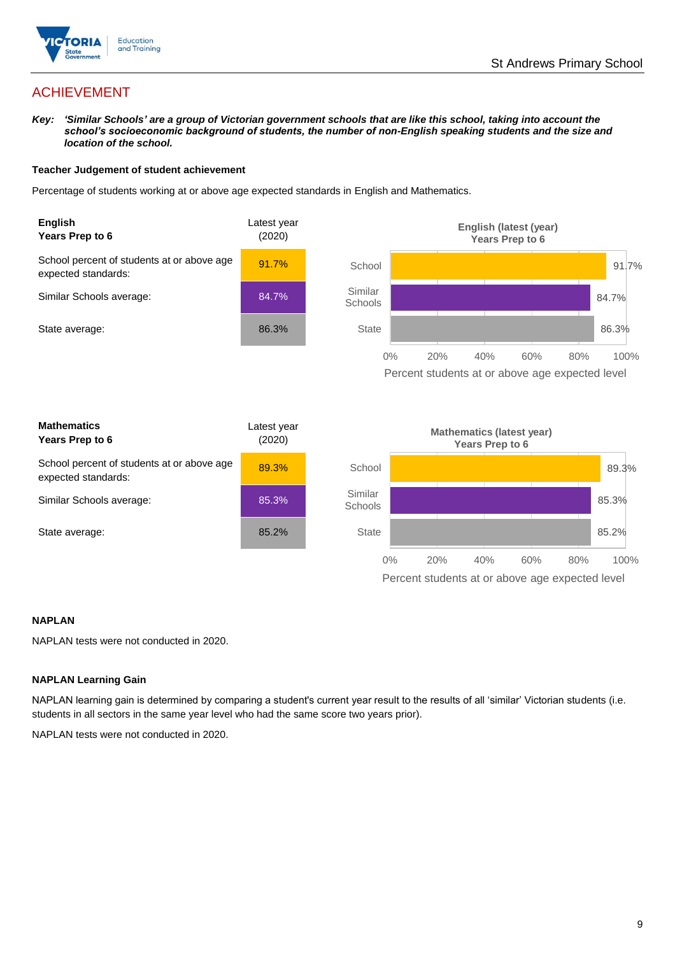

## ACHIEVEMENT

*Key: 'Similar Schools' are a group of Victorian government schools that are like this school, taking into account the school's socioeconomic background of students, the number of non-English speaking students and the size and location of the school.*

#### **Teacher Judgement of student achievement**

Percentage of students working at or above age expected standards in English and Mathematics.



#### **NAPLAN**

NAPLAN tests were not conducted in 2020.

#### **NAPLAN Learning Gain**

NAPLAN learning gain is determined by comparing a student's current year result to the results of all 'similar' Victorian students (i.e. students in all sectors in the same year level who had the same score two years prior).

NAPLAN tests were not conducted in 2020.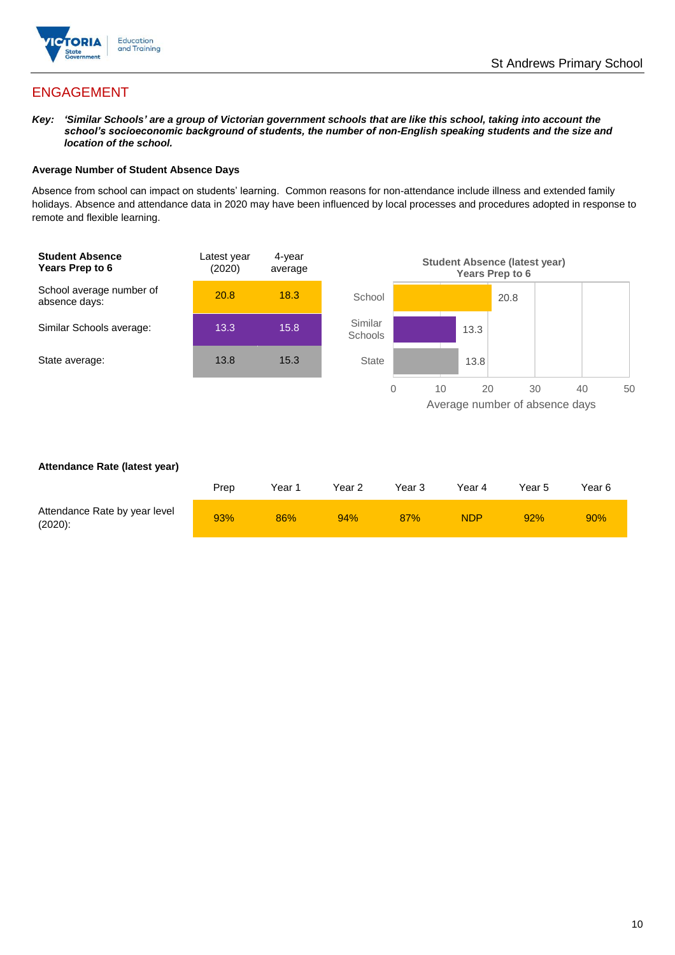

## ENGAGEMENT

*Key: 'Similar Schools' are a group of Victorian government schools that are like this school, taking into account the school's socioeconomic background of students, the number of non-English speaking students and the size and location of the school.*

#### **Average Number of Student Absence Days**

Absence from school can impact on students' learning. Common reasons for non-attendance include illness and extended family holidays. Absence and attendance data in 2020 may have been influenced by local processes and procedures adopted in response to remote and flexible learning.



#### **Attendance Rate (latest year)**

|                                             | Prep | Year 1 | Year 2 | Year 3 | Year 4 | Year 5 | Year 6 |
|---------------------------------------------|------|--------|--------|--------|--------|--------|--------|
| Attendance Rate by year level<br>$(2020)$ : | 93%  | 86%    | 94%    | 87%    | NDP    | 92%    | 90%    |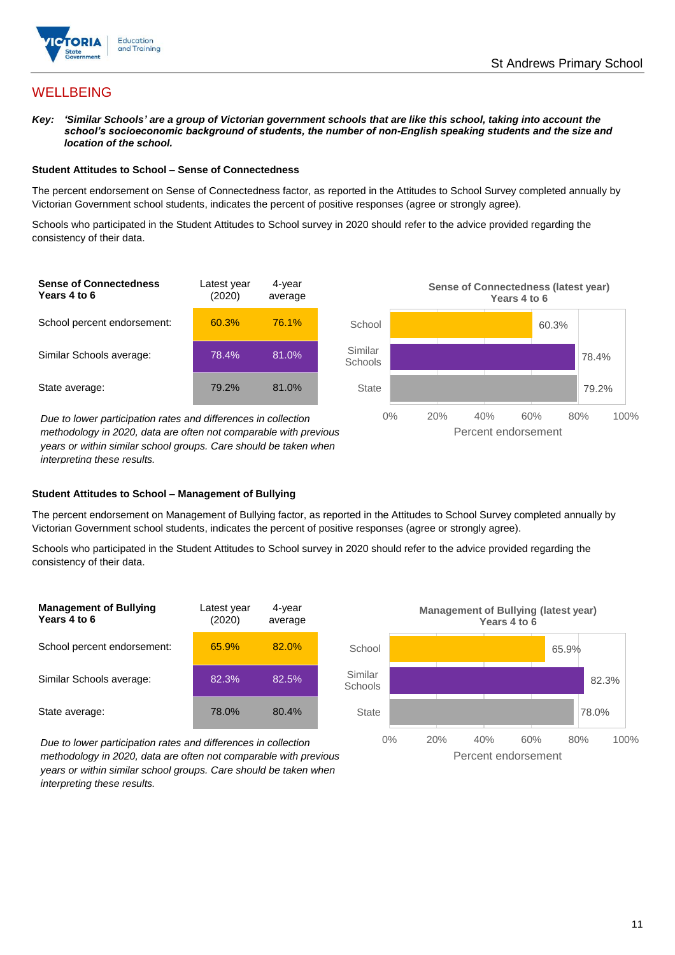

## **WELLBEING**

*Key: 'Similar Schools' are a group of Victorian government schools that are like this school, taking into account the school's socioeconomic background of students, the number of non-English speaking students and the size and location of the school.*

#### **Student Attitudes to School – Sense of Connectedness**

The percent endorsement on Sense of Connectedness factor, as reported in the Attitudes to School Survey completed annually by Victorian Government school students, indicates the percent of positive responses (agree or strongly agree).

Schools who participated in the Student Attitudes to School survey in 2020 should refer to the advice provided regarding the consistency of their data.



*methodology in 2020, data are often not comparable with previous years or within similar school groups. Care should be taken when interpreting these results.*

#### **Student Attitudes to School – Management of Bullying**

The percent endorsement on Management of Bullying factor, as reported in the Attitudes to School Survey completed annually by Victorian Government school students, indicates the percent of positive responses (agree or strongly agree).

Schools who participated in the Student Attitudes to School survey in 2020 should refer to the advice provided regarding the consistency of their data.





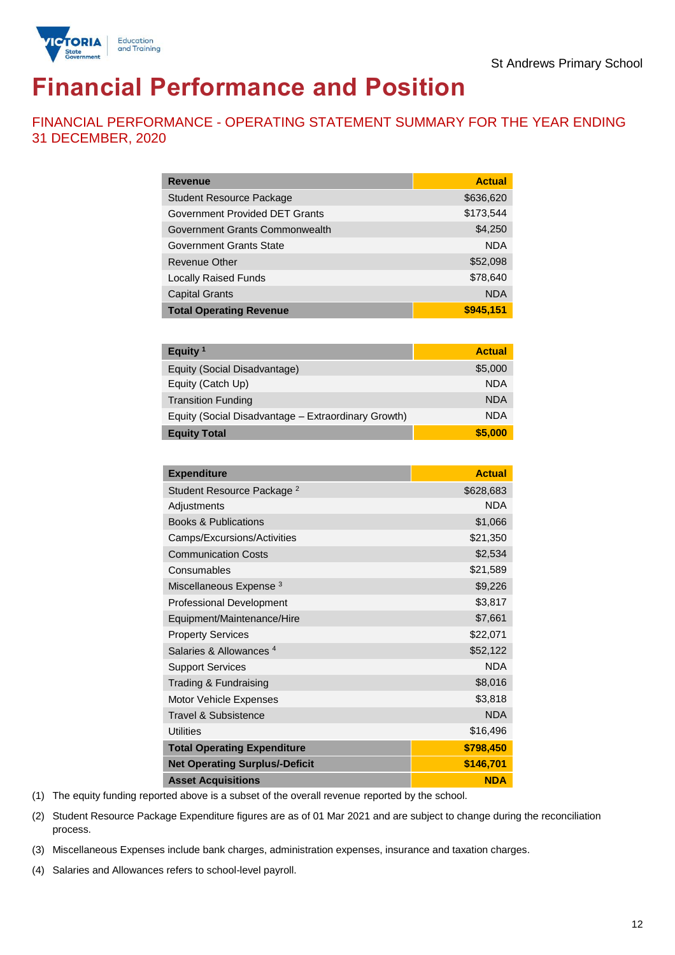

# **Financial Performance and Position**

FINANCIAL PERFORMANCE - OPERATING STATEMENT SUMMARY FOR THE YEAR ENDING 31 DECEMBER, 2020

| <b>Revenue</b>                  | <b>Actual</b> |
|---------------------------------|---------------|
| <b>Student Resource Package</b> | \$636,620     |
| Government Provided DET Grants  | \$173,544     |
| Government Grants Commonwealth  | \$4,250       |
| Government Grants State         | <b>NDA</b>    |
| Revenue Other                   | \$52,098      |
| <b>Locally Raised Funds</b>     | \$78,640      |
| <b>Capital Grants</b>           | <b>NDA</b>    |
| <b>Total Operating Revenue</b>  | \$945,151     |

| Equity <sup>1</sup>                                 | <b>Actual</b> |
|-----------------------------------------------------|---------------|
| Equity (Social Disadvantage)                        | \$5,000       |
| Equity (Catch Up)                                   | <b>NDA</b>    |
| <b>Transition Funding</b>                           | <b>NDA</b>    |
| Equity (Social Disadvantage - Extraordinary Growth) | <b>NDA</b>    |
| <b>Equity Total</b>                                 | \$5,000       |

| <b>Expenditure</b>                    | <b>Actual</b> |
|---------------------------------------|---------------|
| Student Resource Package <sup>2</sup> | \$628,683     |
| Adjustments                           | <b>NDA</b>    |
| <b>Books &amp; Publications</b>       | \$1,066       |
| Camps/Excursions/Activities           | \$21,350      |
| <b>Communication Costs</b>            | \$2,534       |
| Consumables                           | \$21,589      |
| Miscellaneous Expense <sup>3</sup>    | \$9,226       |
| <b>Professional Development</b>       | \$3,817       |
| Equipment/Maintenance/Hire            | \$7,661       |
| <b>Property Services</b>              | \$22,071      |
| Salaries & Allowances <sup>4</sup>    | \$52,122      |
| <b>Support Services</b>               | <b>NDA</b>    |
| Trading & Fundraising                 | \$8,016       |
| Motor Vehicle Expenses                | \$3,818       |
| Travel & Subsistence                  | <b>NDA</b>    |
| <b>Utilities</b>                      | \$16,496      |
| <b>Total Operating Expenditure</b>    | \$798,450     |
| <b>Net Operating Surplus/-Deficit</b> | \$146,701     |
| <b>Asset Acquisitions</b>             | <b>NDA</b>    |

(1) The equity funding reported above is a subset of the overall revenue reported by the school.

(2) Student Resource Package Expenditure figures are as of 01 Mar 2021 and are subject to change during the reconciliation process.

(3) Miscellaneous Expenses include bank charges, administration expenses, insurance and taxation charges.

(4) Salaries and Allowances refers to school-level payroll.